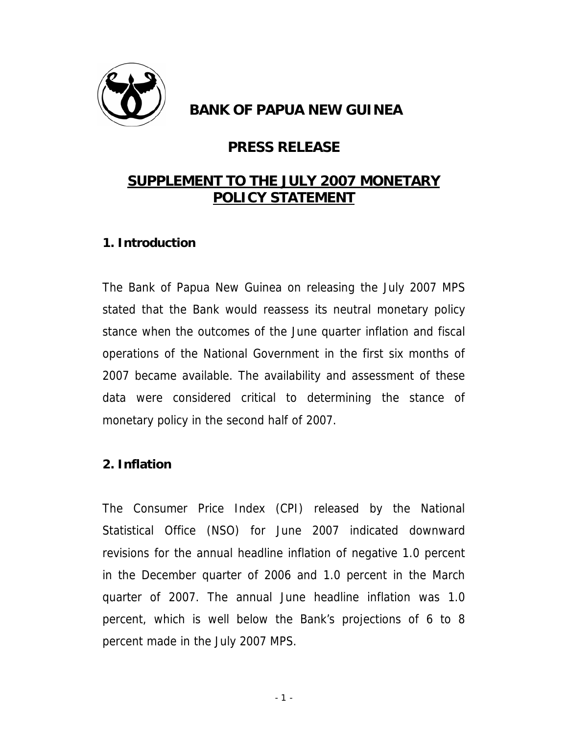

## **BANK OF PAPUA NEW GUINEA**

# **PRESS RELEASE**

# **SUPPLEMENT TO THE JULY 2007 MONETARY POLICY STATEMENT**

## **1. Introduction**

The Bank of Papua New Guinea on releasing the July 2007 MPS stated that the Bank would reassess its neutral monetary policy stance when the outcomes of the June quarter inflation and fiscal operations of the National Government in the first six months of 2007 became available. The availability and assessment of these data were considered critical to determining the stance of monetary policy in the second half of 2007.

## **2. Inflation**

The Consumer Price Index (CPI) released by the National Statistical Office (NSO) for June 2007 indicated downward revisions for the annual headline inflation of negative 1.0 percent in the December quarter of 2006 and 1.0 percent in the March quarter of 2007. The annual June headline inflation was 1.0 percent, which is well below the Bank's projections of 6 to 8 percent made in the July 2007 MPS.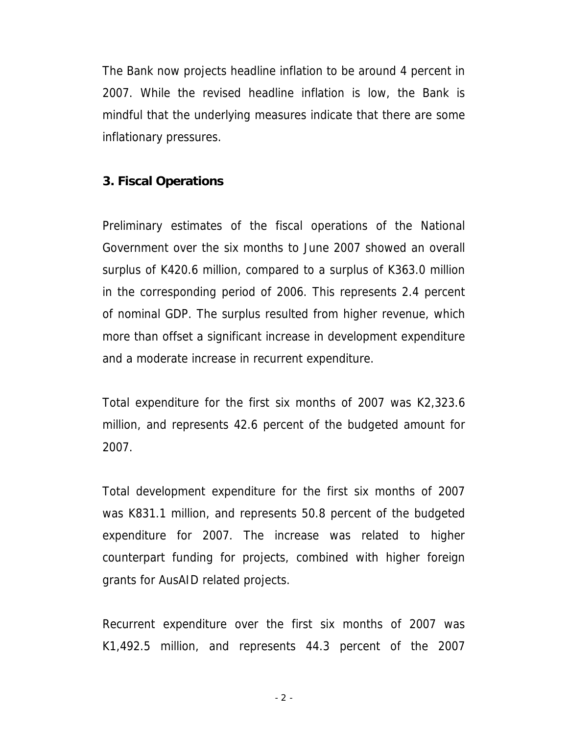The Bank now projects headline inflation to be around 4 percent in 2007. While the revised headline inflation is low, the Bank is mindful that the underlying measures indicate that there are some inflationary pressures.

#### **3. Fiscal Operations**

Preliminary estimates of the fiscal operations of the National Government over the six months to June 2007 showed an overall surplus of K420.6 million, compared to a surplus of K363.0 million in the corresponding period of 2006. This represents 2.4 percent of nominal GDP. The surplus resulted from higher revenue, which more than offset a significant increase in development expenditure and a moderate increase in recurrent expenditure.

Total expenditure for the first six months of 2007 was K2,323.6 million, and represents 42.6 percent of the budgeted amount for 2007.

Total development expenditure for the first six months of 2007 was K831.1 million, and represents 50.8 percent of the budgeted expenditure for 2007. The increase was related to higher counterpart funding for projects, combined with higher foreign grants for AusAID related projects.

Recurrent expenditure over the first six months of 2007 was K1,492.5 million, and represents 44.3 percent of the 2007

 $-2 -$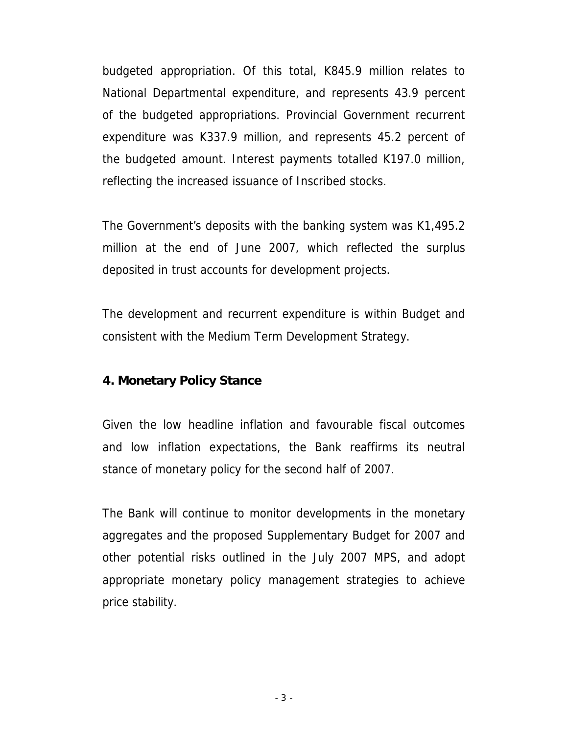budgeted appropriation. Of this total, K845.9 million relates to National Departmental expenditure, and represents 43.9 percent of the budgeted appropriations. Provincial Government recurrent expenditure was K337.9 million, and represents 45.2 percent of the budgeted amount. Interest payments totalled K197.0 million, reflecting the increased issuance of Inscribed stocks.

The Government's deposits with the banking system was K1,495.2 million at the end of June 2007, which reflected the surplus deposited in trust accounts for development projects.

The development and recurrent expenditure is within Budget and consistent with the Medium Term Development Strategy.

## **4. Monetary Policy Stance**

Given the low headline inflation and favourable fiscal outcomes and low inflation expectations, the Bank reaffirms its neutral stance of monetary policy for the second half of 2007.

The Bank will continue to monitor developments in the monetary aggregates and the proposed Supplementary Budget for 2007 and other potential risks outlined in the July 2007 MPS, and adopt appropriate monetary policy management strategies to achieve price stability.